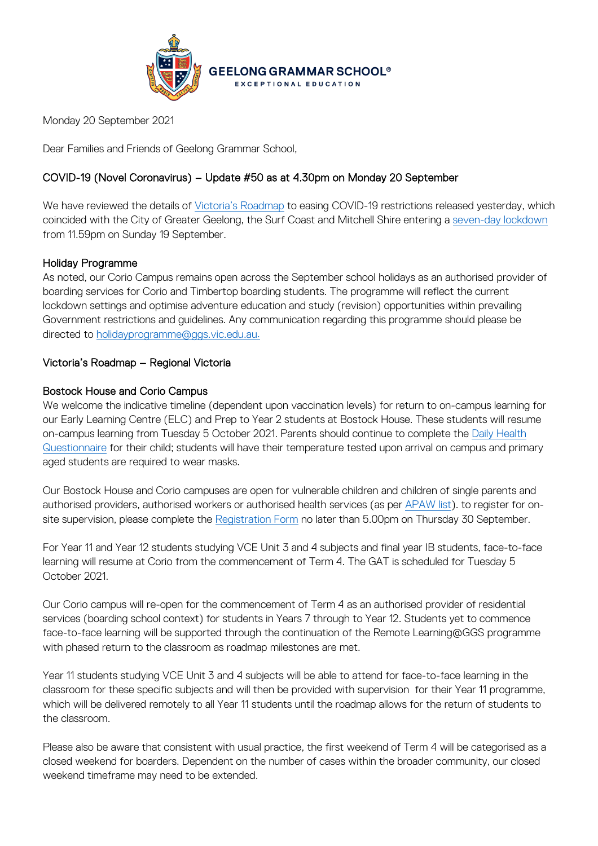

Monday 20 September 2021

Dear Families and Friends of Geelong Grammar School,

## COVID-19 (Novel Coronavirus) – Update #50 as at 4.30pm on Monday 20 September

We have reviewed the details of [Victoria's Roadmap](https://www.premier.vic.gov.au/victorias-roadmap-delivering-national-plan) to easing COVID-19 restrictions released yesterday, which coincided with the City of Greater Geelong, the Surf Coast and Mitchell Shire entering a [seven-day lockdown](https://www.premier.vic.gov.au/sites/default/files/2021-09/210919%20-%20Seven%20Day%20Lockdown-Geelong%2C%20Surf%20Coast%20%26%20Mitchell%20Shire.pdf) from 11.59pm on Sunday 19 September.

### Holiday Programme

As noted, our Corio Campus remains open across the September school holidays as an authorised provider of boarding services for Corio and Timbertop boarding students. The programme will reflect the current lockdown settings and optimise adventure education and study (revision) opportunities within prevailing Government restrictions and guidelines. Any communication regarding this programme should please be directed to [holidayprogramme@ggs.vic.edu.au.](mailto:holidayprogramme@ggs.vic.edu.au)

### Victoria's Roadmap – Regional Victoria

### Bostock House and Corio Campus

We welcome the indicative timeline (dependent upon vaccination levels) for return to on-campus learning for our Early Learning Centre (ELC) and Prep to Year 2 students at Bostock House. These students will resume on-campus learning from Tuesday 5 October 2021. Parents should continue to complete the Daily Health [Questionnaire](https://forms.office.com/Pages/ResponsePage.aspx?id=ELu_KfmYBkWxD1P2rSx8Ev-kTHtY0BRDgodmf5vZO-ZUMlA3SjBJOTlGTENIQk5aVjlRMFdIMTZCQS4u&wdLOR=c6ADEBC50-953A-40B2-8789-919A85C6009F) for their child; students will have their temperature tested upon arrival on campus and primary aged students are required to wear masks.

Our Bostock House and Corio campuses are open for vulnerable children and children of single parents and authorised providers, authorised workers or authorised health services (as per [APAW list\)](https://www.coronavirus.vic.gov.au/authorised-provider-and-authorised-worker-list). to register for onsite supervision, please complete the [Registration Form](https://www.ggs.vic.edu.au/school/our-school/leadership-and-governance/recent-statements/covid-19/supervision-of-remote-learning-ggs) no later than 5.00pm on Thursday 30 September.

For Year 11 and Year 12 students studying VCE Unit 3 and 4 subjects and final year IB students, face-to-face learning will resume at Corio from the commencement of Term 4. The GAT is scheduled for Tuesday 5 October 2021.

Our Corio campus will re-open for the commencement of Term 4 as an authorised provider of residential services (boarding school context) for students in Years 7 through to Year 12. Students yet to commence face-to-face learning will be supported through the continuation of the Remote Learning@GGS programme with phased return to the classroom as roadmap milestones are met.

Year 11 students studying VCE Unit 3 and 4 subjects will be able to attend for face-to-face learning in the classroom for these specific subjects and will then be provided with supervision for their Year 11 programme, which will be delivered remotely to all Year 11 students until the roadmap allows for the return of students to the classroom.

Please also be aware that consistent with usual practice, the first weekend of Term 4 will be categorised as a closed weekend for boarders. Dependent on the number of cases within the broader community, our closed weekend timeframe may need to be extended.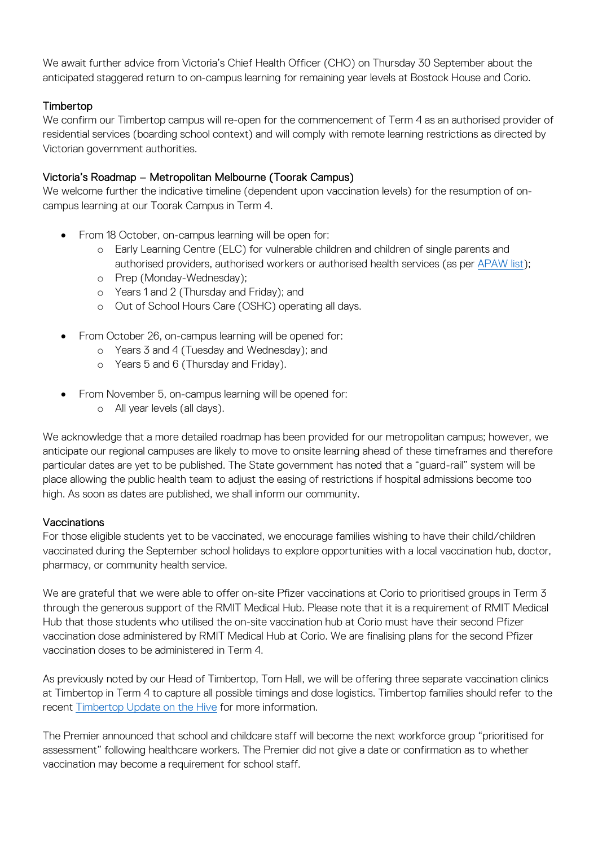We await further advice from Victoria's Chief Health Officer (CHO) on Thursday 30 September about the anticipated staggered return to on-campus learning for remaining year levels at Bostock House and Corio.

# Timbertop

We confirm our Timbertop campus will re-open for the commencement of Term 4 as an authorised provider of residential services (boarding school context) and will comply with remote learning restrictions as directed by Victorian government authorities.

## Victoria's Roadmap – Metropolitan Melbourne (Toorak Campus)

We welcome further the indicative timeline (dependent upon vaccination levels) for the resumption of oncampus learning at our Toorak Campus in Term 4.

- From 18 October, on-campus learning will be open for:
	- o Early Learning Centre (ELC) for vulnerable children and children of single parents and authorised providers, authorised workers or authorised health services (as per [APAW list\)](https://www.coronavirus.vic.gov.au/authorised-provider-and-authorised-worker-list);
	- o Prep (Monday-Wednesday);
	- o Years 1 and 2 (Thursday and Friday); and
	- o Out of School Hours Care (OSHC) operating all days.
- From October 26, on-campus learning will be opened for:
	- o Years 3 and 4 (Tuesday and Wednesday); and
	- o Years 5 and 6 (Thursday and Friday).
- From November 5, on-campus learning will be opened for:
	- o All year levels (all days).

We acknowledge that a more detailed roadmap has been provided for our metropolitan campus; however, we anticipate our regional campuses are likely to move to onsite learning ahead of these timeframes and therefore particular dates are yet to be published. The State government has noted that a "guard-rail" system will be place allowing the public health team to adjust the easing of restrictions if hospital admissions become too high. As soon as dates are published, we shall inform our community.

### **Vaccinations**

For those eligible students yet to be vaccinated, we encourage families wishing to have their child/children vaccinated during the September school holidays to explore opportunities with a local vaccination hub, doctor, pharmacy, or community health service.

We are grateful that we were able to offer on-site Pfizer vaccinations at Corio to prioritised groups in Term 3 through the generous support of the RMIT Medical Hub. Please note that it is a requirement of RMIT Medical Hub that those students who utilised the on-site vaccination hub at Corio must have their second Pfizer vaccination dose administered by RMIT Medical Hub at Corio. We are finalising plans for the second Pfizer vaccination doses to be administered in Term 4.

As previously noted by our Head of Timbertop, Tom Hall, we will be offering three separate vaccination clinics at Timbertop in Term 4 to capture all possible timings and dose logistics. Timbertop families should refer to the recent [Timbertop Update on the Hive](https://hive.ggs.vic.edu.au/news/2470) for more information.

The Premier announced that school and childcare staff will become the next workforce group "prioritised for assessment" following healthcare workers. The Premier did not give a date or confirmation as to whether vaccination may become a requirement for school staff.